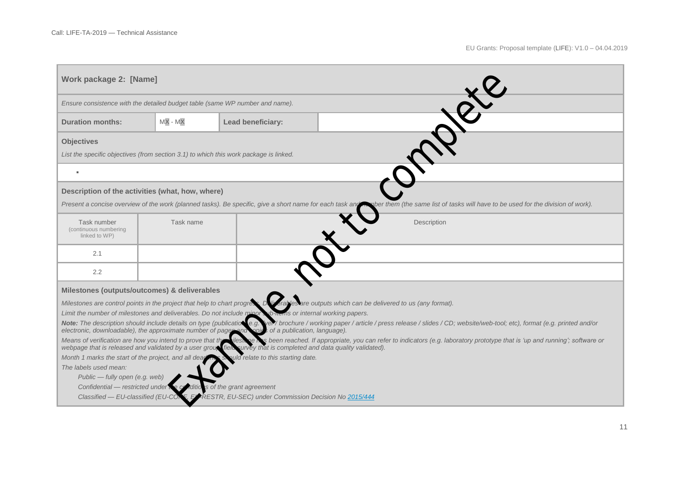| Work package 2: [Name]                                                                                                                                                                                                                                                                                                                                                                                                                                                                                                          |           |                   |  |             |  |
|---------------------------------------------------------------------------------------------------------------------------------------------------------------------------------------------------------------------------------------------------------------------------------------------------------------------------------------------------------------------------------------------------------------------------------------------------------------------------------------------------------------------------------|-----------|-------------------|--|-------------|--|
| Ensure consistence with the detailed budget table (same WP number and name).                                                                                                                                                                                                                                                                                                                                                                                                                                                    |           |                   |  |             |  |
| <b>Duration months:</b>                                                                                                                                                                                                                                                                                                                                                                                                                                                                                                         | $MX - MX$ | Lead beneficiary: |  |             |  |
| <b>Objectives</b><br>List the specific objectives (from section 3.1) to which this work package is linked.                                                                                                                                                                                                                                                                                                                                                                                                                      |           |                   |  |             |  |
| $\alpha$                                                                                                                                                                                                                                                                                                                                                                                                                                                                                                                        |           |                   |  |             |  |
| Description of the activities (what, how, where)<br>Present a concise overview of the work (planned tasks). Be specific, give a short name for each task and me ber them (the same list of tasks will have to be used for the division of work).                                                                                                                                                                                                                                                                                |           |                   |  |             |  |
| Task number<br>(continuous numbering<br>linked to WP)                                                                                                                                                                                                                                                                                                                                                                                                                                                                           | Task name |                   |  | Description |  |
| 2.1                                                                                                                                                                                                                                                                                                                                                                                                                                                                                                                             |           |                   |  |             |  |
| 2.2                                                                                                                                                                                                                                                                                                                                                                                                                                                                                                                             |           |                   |  |             |  |
| Milestones (outputs/outcomes) & deliverables                                                                                                                                                                                                                                                                                                                                                                                                                                                                                    |           |                   |  |             |  |
| Milestones are control points in the project that help to chart progress Duicatiles are outputs which can be delivered to us (any format).<br>Limit the number of milestones and deliverables. Do not include minor wib-homs or internal working papers.<br>Note: The description should include details on type (publication e.g. Ver/ brochure / working paper / article / press release / slides / CD; website/web-tool; etc), format (e.g. printed and/or                                                                   |           |                   |  |             |  |
| electronic, downloadable), the approximate number of pages and sopies of a publication, language).<br>Means of verification are how you intend to prove that the<br>ilesione bas been reached. If appropriate, you can refer to indicators (e.g. laboratory prototype that is 'up and running'; software or<br>webpage that is released and validated by a user group field curvey that is completed and data quality validated).<br>ould relate to this starting date.<br>Month 1 marks the start of the project, and all dead |           |                   |  |             |  |
| The labels used mean:<br>Public - fully open (e.g. web)                                                                                                                                                                                                                                                                                                                                                                                                                                                                         |           |                   |  |             |  |
| Confidential — restricted under the conditions of the grant agreement<br>Classified - EU-classified (EU-CO)<br>ELARESTR, EU-SEC) under Commission Decision No 2015/444                                                                                                                                                                                                                                                                                                                                                          |           |                   |  |             |  |